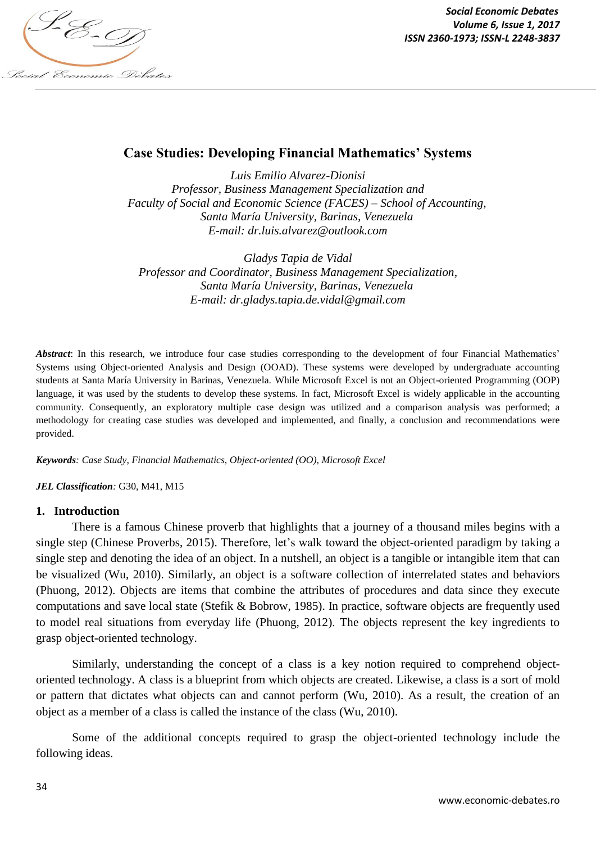

*Social Economic Debates Volume 6, Issue 1, 2017*

# **Case Studies: Developing Financial Mathematics' Systems**

*Luis Emilio Alvarez-Dionisi Professor, Business Management Specialization and Faculty of Social and Economic Science (FACES) – School of Accounting, Santa María University, Barinas, Venezuela E-mail: dr.luis.alvarez@outlook.com*

*Gladys Tapia de Vidal Professor and Coordinator, Business Management Specialization, Santa María University, Barinas, Venezuela E-mail: dr.gladys.tapia.de.vidal@gmail.com*

*Abstract*: In this research, we introduce four case studies corresponding to the development of four Financial Mathematics' Systems using Object-oriented Analysis and Design (OOAD). These systems were developed by undergraduate accounting students at Santa María University in Barinas, Venezuela. While Microsoft Excel is not an Object-oriented Programming (OOP) language, it was used by the students to develop these systems. In fact, Microsoft Excel is widely applicable in the accounting community. Consequently, an exploratory multiple case design was utilized and a comparison analysis was performed; a methodology for creating case studies was developed and implemented, and finally, a conclusion and recommendations were provided.

*Keywords: Case Study, Financial Mathematics, Object-oriented (OO), Microsoft Excel*

#### *JEL Classification:* G30, M41, M15

#### **1. Introduction**

There is a famous Chinese proverb that highlights that a journey of a thousand miles begins with a single step (Chinese Proverbs, 2015). Therefore, let's walk toward the object-oriented paradigm by taking a single step and denoting the idea of an object. In a nutshell, an object is a tangible or intangible item that can be visualized (Wu, 2010). Similarly, an object is a software collection of interrelated states and behaviors (Phuong, 2012). Objects are items that combine the attributes of procedures and data since they execute computations and save local state (Stefik & Bobrow, 1985). In practice, software objects are frequently used to model real situations from everyday life (Phuong, 2012). The objects represent the key ingredients to grasp object-oriented technology.

Similarly, understanding the concept of a class is a key notion required to comprehend objectoriented technology. A class is a blueprint from which objects are created. Likewise, a class is a sort of mold or pattern that dictates what objects can and cannot perform (Wu, 2010). As a result, the creation of an object as a member of a class is called the instance of the class (Wu, 2010).

Some of the additional concepts required to grasp the object-oriented technology include the following ideas.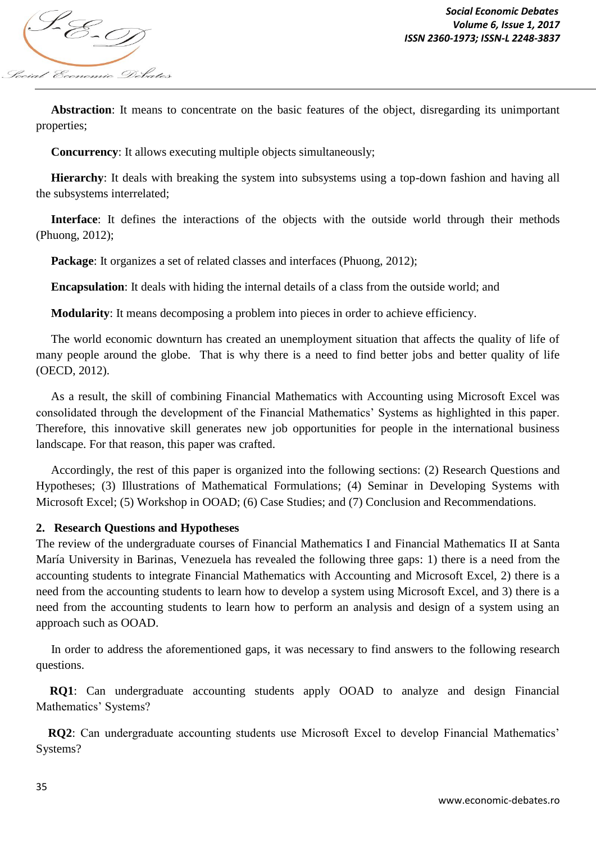

 **Abstraction**: It means to concentrate on the basic features of the object, disregarding its unimportant properties;

**Concurrency:** It allows executing multiple objects simultaneously:

 **Hierarchy**: It deals with breaking the system into subsystems using a top-down fashion and having all the subsystems interrelated;

 **Interface**: It defines the interactions of the objects with the outside world through their methods (Phuong, 2012);

**Package:** It organizes a set of related classes and interfaces (Phuong, 2012);

**Encapsulation**: It deals with hiding the internal details of a class from the outside world; and

**Modularity**: It means decomposing a problem into pieces in order to achieve efficiency.

 The world economic downturn has created an unemployment situation that affects the quality of life of many people around the globe. That is why there is a need to find better jobs and better quality of life (OECD, 2012).

 As a result, the skill of combining Financial Mathematics with Accounting using Microsoft Excel was consolidated through the development of the Financial Mathematics' Systems as highlighted in this paper. Therefore, this innovative skill generates new job opportunities for people in the international business landscape. For that reason, this paper was crafted.

 Accordingly, the rest of this paper is organized into the following sections: (2) Research Questions and Hypotheses; (3) Illustrations of Mathematical Formulations; (4) Seminar in Developing Systems with Microsoft Excel; (5) Workshop in OOAD; (6) Case Studies; and (7) Conclusion and Recommendations.

#### **2. Research Questions and Hypotheses**

The review of the undergraduate courses of Financial Mathematics I and Financial Mathematics II at Santa María University in Barinas, Venezuela has revealed the following three gaps: 1) there is a need from the accounting students to integrate Financial Mathematics with Accounting and Microsoft Excel, 2) there is a need from the accounting students to learn how to develop a system using Microsoft Excel, and 3) there is a need from the accounting students to learn how to perform an analysis and design of a system using an approach such as OOAD.

 In order to address the aforementioned gaps, it was necessary to find answers to the following research questions.

 **RQ1**: Can undergraduate accounting students apply OOAD to analyze and design Financial Mathematics' Systems?

 **RQ2**: Can undergraduate accounting students use Microsoft Excel to develop Financial Mathematics' Systems?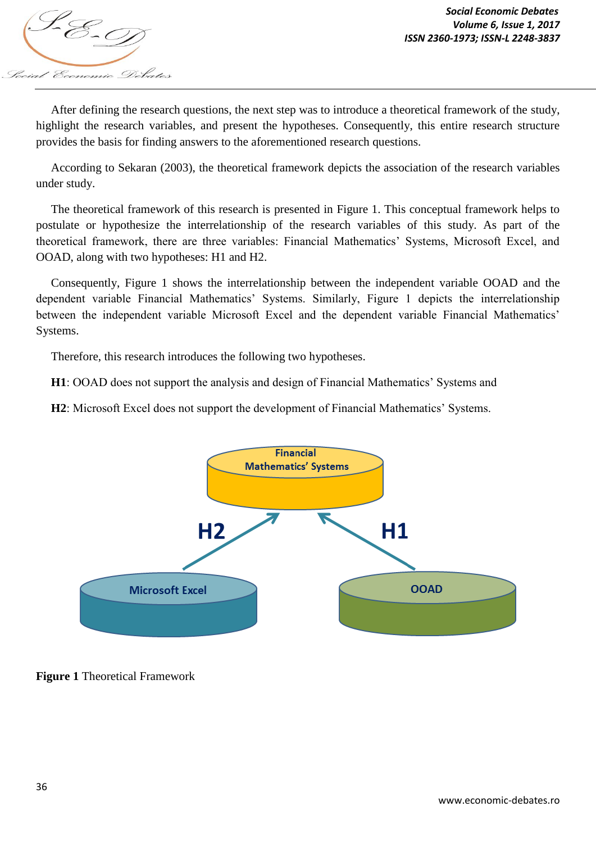

 After defining the research questions, the next step was to introduce a theoretical framework of the study, highlight the research variables, and present the hypotheses. Consequently, this entire research structure provides the basis for finding answers to the aforementioned research questions.

 According to Sekaran (2003), the theoretical framework depicts the association of the research variables under study.

 The theoretical framework of this research is presented in Figure 1. This conceptual framework helps to postulate or hypothesize the interrelationship of the research variables of this study. As part of the theoretical framework, there are three variables: Financial Mathematics' Systems, Microsoft Excel, and OOAD, along with two hypotheses: H1 and H2.

 Consequently, Figure 1 shows the interrelationship between the independent variable OOAD and the dependent variable Financial Mathematics' Systems. Similarly, Figure 1 depicts the interrelationship between the independent variable Microsoft Excel and the dependent variable Financial Mathematics' Systems.

Therefore, this research introduces the following two hypotheses.

**H1**: OOAD does not support the analysis and design of Financial Mathematics' Systems and

 **H2**: Microsoft Excel does not support the development of Financial Mathematics' Systems.



**Figure 1** Theoretical Framework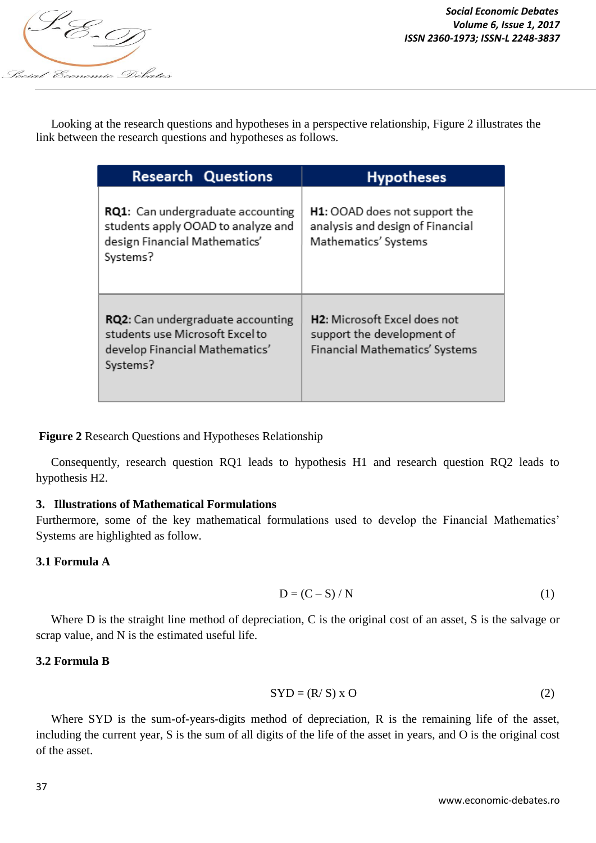

 Looking at the research questions and hypotheses in a perspective relationship, Figure 2 illustrates the link between the research questions and hypotheses as follows.

| <b>Research Questions</b>                                                                                            | <b>Hypotheses</b>                                                                                         |
|----------------------------------------------------------------------------------------------------------------------|-----------------------------------------------------------------------------------------------------------|
| RQ1: Can undergraduate accounting<br>students apply OOAD to analyze and<br>design Financial Mathematics'<br>Systems? | H1: OOAD does not support the<br>analysis and design of Financial<br>Mathematics' Systems                 |
| RQ2: Can undergraduate accounting<br>students use Microsoft Excel to<br>develop Financial Mathematics'<br>Systems?   | H <sub>2</sub> : Microsoft Excel does not<br>support the development of<br>Financial Mathematics' Systems |

**Figure 2** Research Questions and Hypotheses Relationship

 Consequently, research question RQ1 leads to hypothesis H1 and research question RQ2 leads to hypothesis H2.

# **3. Illustrations of Mathematical Formulations**

Furthermore, some of the key mathematical formulations used to develop the Financial Mathematics' Systems are highlighted as follow.

# **3.1 Formula A**

$$
D = (C - S) / N \tag{1}
$$

Where D is the straight line method of depreciation, C is the original cost of an asset, S is the salvage or scrap value, and N is the estimated useful life.

# **3.2 Formula B**

$$
SYD = (R/S) \times O \tag{2}
$$

 Where SYD is the sum-of-years-digits method of depreciation, R is the remaining life of the asset, including the current year, S is the sum of all digits of the life of the asset in years, and O is the original cost of the asset.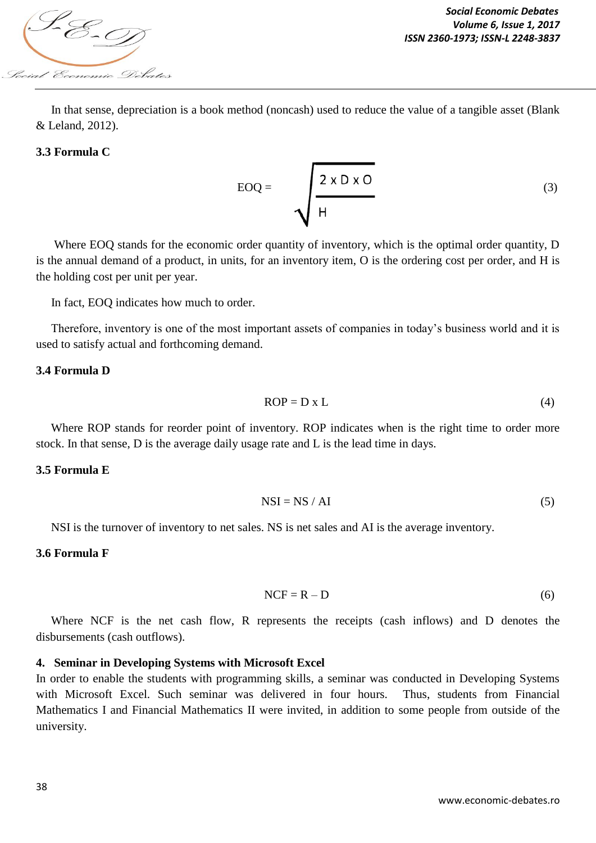

 In that sense, depreciation is a book method (noncash) used to reduce the value of a tangible asset (Blank & Leland, 2012).

#### **3.3 Formula C**

$$
EOQ = \sqrt{\frac{2 \times D \times O}{H}}
$$
 (3)

Where EOQ stands for the economic order quantity of inventory, which is the optimal order quantity, D is the annual demand of a product, in units, for an inventory item, O is the ordering cost per order, and H is the holding cost per unit per year.

In fact, EOQ indicates how much to order.

 Therefore, inventory is one of the most important assets of companies in today's business world and it is used to satisfy actual and forthcoming demand.

#### **3.4 Formula D**

$$
ROP = D \times L \tag{4}
$$

 Where ROP stands for reorder point of inventory. ROP indicates when is the right time to order more stock. In that sense, D is the average daily usage rate and L is the lead time in days.

#### **3.5 Formula E**

$$
NSI = NS / AI
$$
 (5)

NSI is the turnover of inventory to net sales. NS is net sales and AI is the average inventory.

#### **3.6 Formula F**

$$
NCF = R - D \tag{6}
$$

 Where NCF is the net cash flow, R represents the receipts (cash inflows) and D denotes the disbursements (cash outflows).

#### **4. Seminar in Developing Systems with Microsoft Excel**

In order to enable the students with programming skills, a seminar was conducted in Developing Systems with Microsoft Excel. Such seminar was delivered in four hours. Thus, students from Financial Mathematics I and Financial Mathematics II were invited, in addition to some people from outside of the university.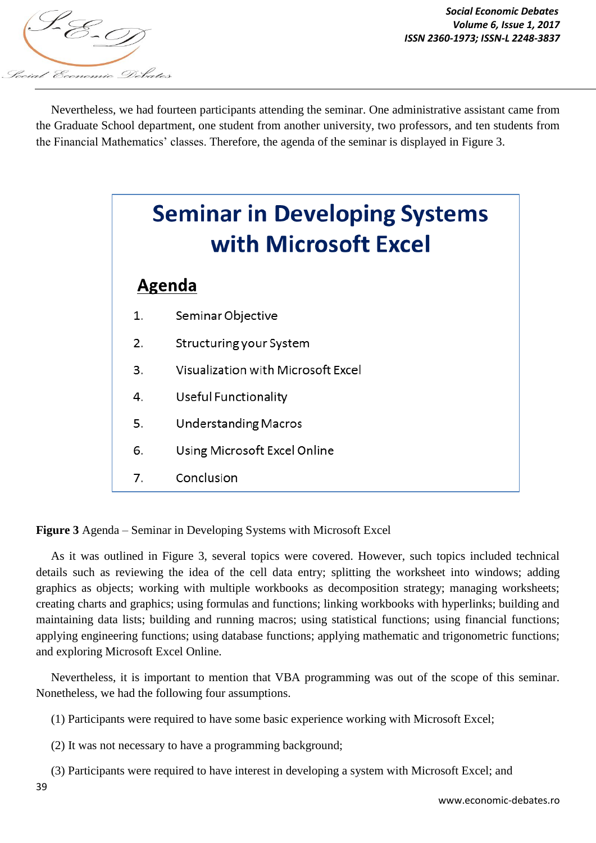

*Social Economic Debates Volume 6, Issue 1, 2017*

 Nevertheless, we had fourteen participants attending the seminar. One administrative assistant came from the Graduate School department, one student from another university, two professors, and ten students from the Financial Mathematics' classes. Therefore, the agenda of the seminar is displayed in Figure 3.

# **Seminar in Developing Systems** with Microsoft Excel

# Agenda

- $\mathbf{1}$ Seminar Objective
- $2.$ Structuring your System
- Visualization with Microsoft Excel 3.
- Useful Functionality 4.
- 5. **Understanding Macros**
- 6. Using Microsoft Excel Online
- 7. Conclusion

**Figure 3** Agenda – Seminar in Developing Systems with Microsoft Excel

 As it was outlined in Figure 3, several topics were covered. However, such topics included technical details such as reviewing the idea of the cell data entry; splitting the worksheet into windows; adding graphics as objects; working with multiple workbooks as decomposition strategy; managing worksheets; creating charts and graphics; using formulas and functions; linking workbooks with hyperlinks; building and maintaining data lists; building and running macros; using statistical functions; using financial functions; applying engineering functions; using database functions; applying mathematic and trigonometric functions; and exploring Microsoft Excel Online.

 Nevertheless, it is important to mention that VBA programming was out of the scope of this seminar. Nonetheless, we had the following four assumptions.

(1) Participants were required to have some basic experience working with Microsoft Excel;

(2) It was not necessary to have a programming background;

(3) Participants were required to have interest in developing a system with Microsoft Excel; and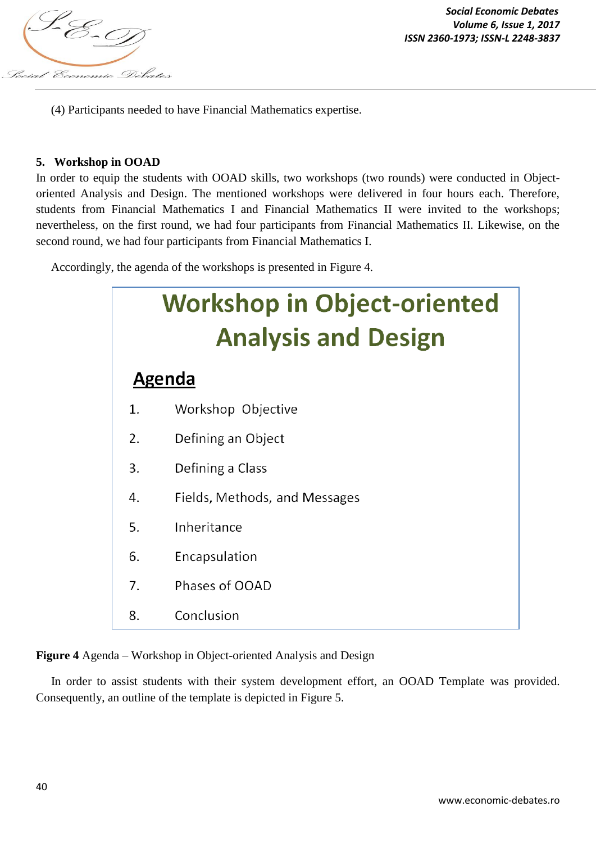

(4) Participants needed to have Financial Mathematics expertise.

#### **5. Workshop in OOAD**

In order to equip the students with OOAD skills, two workshops (two rounds) were conducted in Objectoriented Analysis and Design. The mentioned workshops were delivered in four hours each. Therefore, students from Financial Mathematics I and Financial Mathematics II were invited to the workshops; nevertheless, on the first round, we had four participants from Financial Mathematics II. Likewise, on the second round, we had four participants from Financial Mathematics I.

Accordingly, the agenda of the workshops is presented in Figure 4.



**Figure 4** Agenda – Workshop in Object-oriented Analysis and Design

 In order to assist students with their system development effort, an OOAD Template was provided. Consequently, an outline of the template is depicted in Figure 5.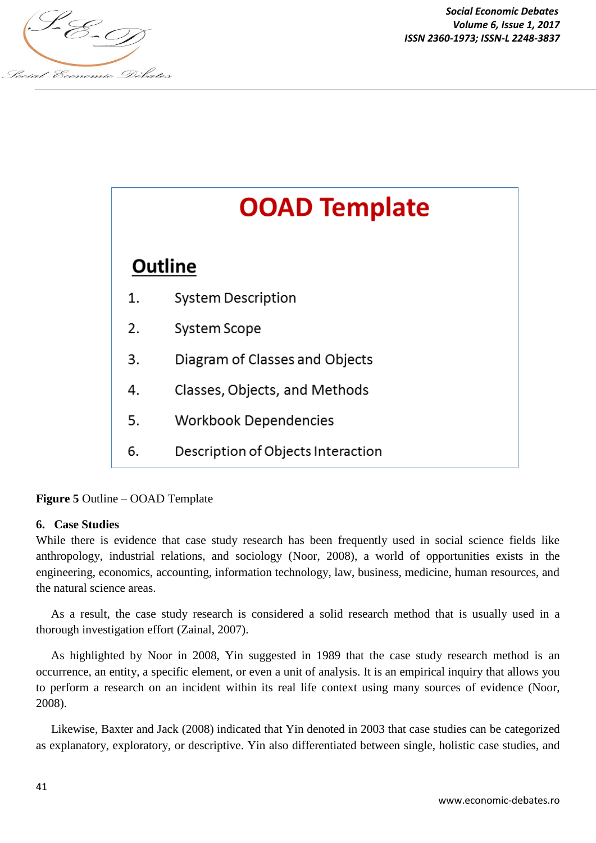



**Figure 5** Outline – OOAD Template

# **6. Case Studies**

While there is evidence that case study research has been frequently used in social science fields like anthropology, industrial relations, and sociology (Noor, 2008), a world of opportunities exists in the engineering, economics, accounting, information technology, law, business, medicine, human resources, and the natural science areas.

 As a result, the case study research is considered a solid research method that is usually used in a thorough investigation effort (Zainal, 2007).

 As highlighted by Noor in 2008, Yin suggested in 1989 that the case study research method is an occurrence, an entity, a specific element, or even a unit of analysis. It is an empirical inquiry that allows you to perform a research on an incident within its real life context using many sources of evidence (Noor, 2008).

 Likewise, Baxter and Jack (2008) indicated that Yin denoted in 2003 that case studies can be categorized as explanatory, exploratory, or descriptive. Yin also differentiated between single, holistic case studies, and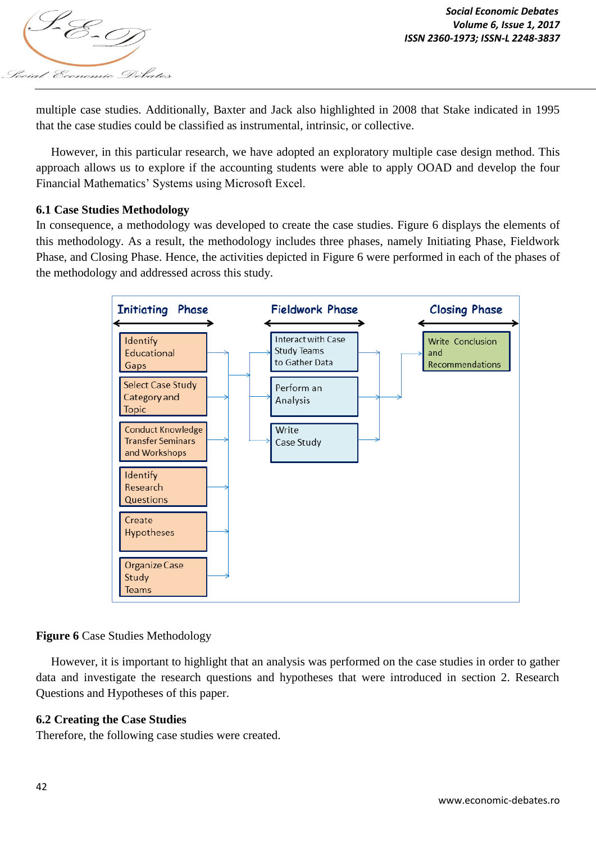

multiple case studies. Additionally, Baxter and Jack also highlighted in 2008 that Stake indicated in 1995 that the case studies could be classified as instrumental, intrinsic, or collective.

 However, in this particular research, we have adopted an exploratory multiple case design method. This approach allows us to explore if the accounting students were able to apply OOAD and develop the four Financial Mathematics' Systems using Microsoft Excel.

#### **6.1 Case Studies Methodology**

In consequence, a methodology was developed to create the case studies. Figure 6 displays the elements of this methodology. As a result, the methodology includes three phases, namely Initiating Phase, Fieldwork Phase, and Closing Phase. Hence, the activities depicted in Figure 6 were performed in each of the phases of the methodology and addressed across this study.



# **Figure 6** Case Studies Methodology

 However, it is important to highlight that an analysis was performed on the case studies in order to gather data and investigate the research questions and hypotheses that were introduced in section 2. Research Questions and Hypotheses of this paper.

# **6.2 Creating the Case Studies**

Therefore, the following case studies were created.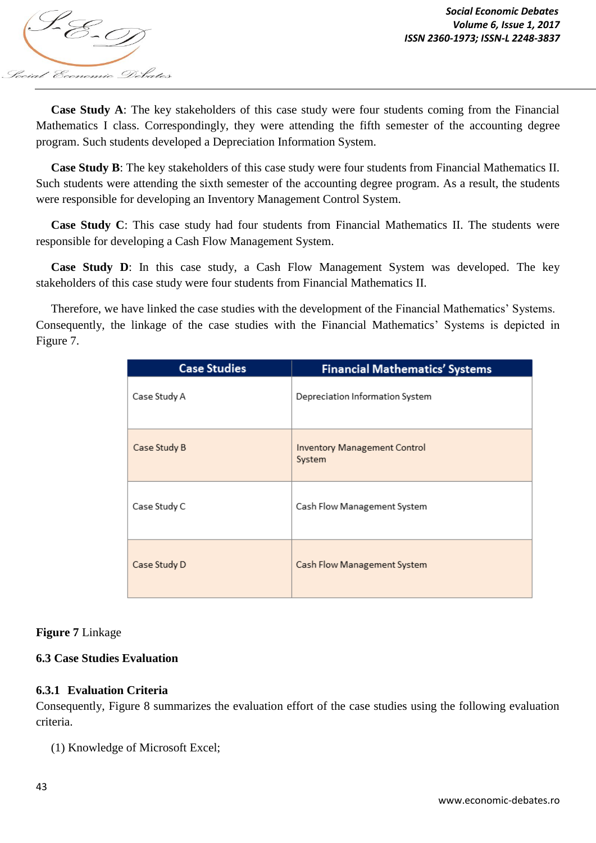

 **Case Study A**: The key stakeholders of this case study were four students coming from the Financial Mathematics I class. Correspondingly, they were attending the fifth semester of the accounting degree program. Such students developed a Depreciation Information System.

 **Case Study B**: The key stakeholders of this case study were four students from Financial Mathematics II. Such students were attending the sixth semester of the accounting degree program. As a result, the students were responsible for developing an Inventory Management Control System.

 **Case Study C**: This case study had four students from Financial Mathematics II. The students were responsible for developing a Cash Flow Management System.

 **Case Study D**: In this case study, a Cash Flow Management System was developed. The key stakeholders of this case study were four students from Financial Mathematics II.

 Therefore, we have linked the case studies with the development of the Financial Mathematics' Systems. Consequently, the linkage of the case studies with the Financial Mathematics' Systems is depicted in Figure 7.

| <b>Case Studies</b> | <b>Financial Mathematics' Systems</b>         |
|---------------------|-----------------------------------------------|
| Case Study A        | Depreciation Information System               |
| Case Study B        | <b>Inventory Management Control</b><br>System |
| Case Study C        | Cash Flow Management System                   |
| Case Study D        | Cash Flow Management System                   |

# **Figure 7** Linkage

# **6.3 Case Studies Evaluation**

# **6.3.1 Evaluation Criteria**

Consequently, Figure 8 summarizes the evaluation effort of the case studies using the following evaluation criteria.

(1) Knowledge of Microsoft Excel;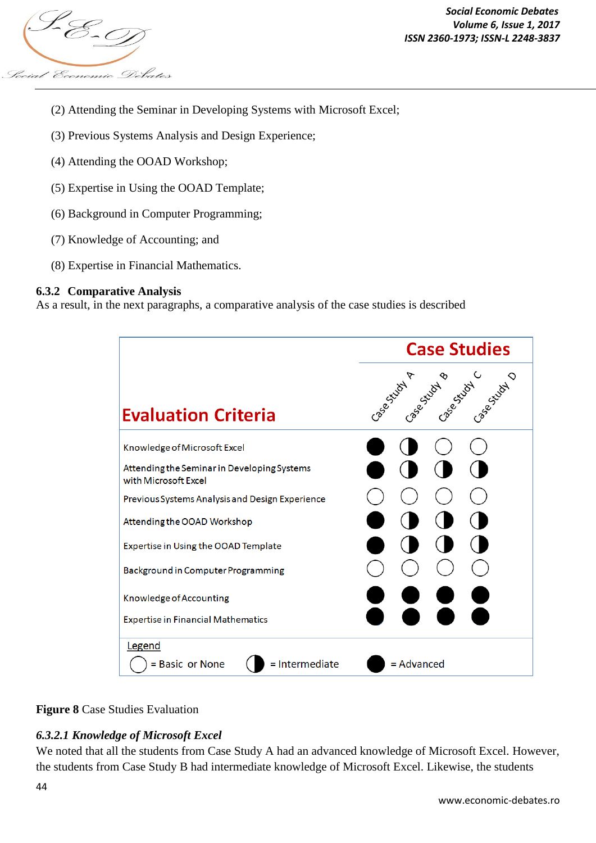

- (2) Attending the Seminar in Developing Systems with Microsoft Excel;
- (3) Previous Systems Analysis and Design Experience;
- (4) Attending the OOAD Workshop;
- (5) Expertise in Using the OOAD Template;
- (6) Background in Computer Programming;
- (7) Knowledge of Accounting; and
- (8) Expertise in Financial Mathematics.

#### **6.3.2 Comparative Analysis**

As a result, in the next paragraphs, a comparative analysis of the case studies is described





# *6.3.2.1 Knowledge of Microsoft Excel*

We noted that all the students from Case Study A had an advanced knowledge of Microsoft Excel. However, the students from Case Study B had intermediate knowledge of Microsoft Excel. Likewise, the students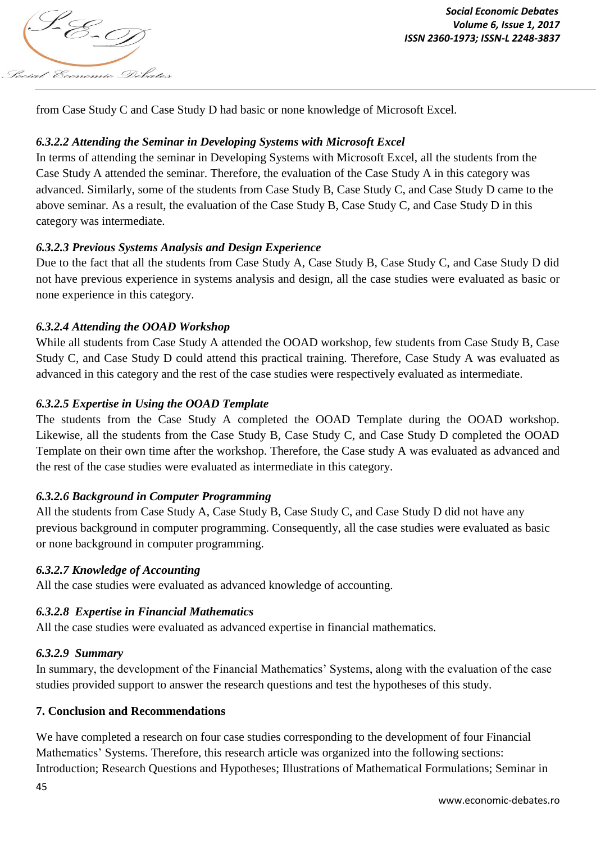

from Case Study C and Case Study D had basic or none knowledge of Microsoft Excel.

# *6.3.2.2 Attending the Seminar in Developing Systems with Microsoft Excel*

In terms of attending the seminar in Developing Systems with Microsoft Excel, all the students from the Case Study A attended the seminar. Therefore, the evaluation of the Case Study A in this category was advanced. Similarly, some of the students from Case Study B, Case Study C, and Case Study D came to the above seminar. As a result, the evaluation of the Case Study B, Case Study C, and Case Study D in this category was intermediate.

# *6.3.2.3 Previous Systems Analysis and Design Experience*

Due to the fact that all the students from Case Study A, Case Study B, Case Study C, and Case Study D did not have previous experience in systems analysis and design, all the case studies were evaluated as basic or none experience in this category.

# *6.3.2.4 Attending the OOAD Workshop*

While all students from Case Study A attended the OOAD workshop, few students from Case Study B, Case Study C, and Case Study D could attend this practical training. Therefore, Case Study A was evaluated as advanced in this category and the rest of the case studies were respectively evaluated as intermediate.

# *6.3.2.5 Expertise in Using the OOAD Template*

The students from the Case Study A completed the OOAD Template during the OOAD workshop. Likewise, all the students from the Case Study B, Case Study C, and Case Study D completed the OOAD Template on their own time after the workshop. Therefore, the Case study A was evaluated as advanced and the rest of the case studies were evaluated as intermediate in this category.

# *6.3.2.6 Background in Computer Programming*

All the students from Case Study A, Case Study B, Case Study C, and Case Study D did not have any previous background in computer programming. Consequently, all the case studies were evaluated as basic or none background in computer programming.

# *6.3.2.7 Knowledge of Accounting*

All the case studies were evaluated as advanced knowledge of accounting.

# *6.3.2.8 Expertise in Financial Mathematics*

All the case studies were evaluated as advanced expertise in financial mathematics.

# *6.3.2.9 Summary*

In summary, the development of the Financial Mathematics' Systems, along with the evaluation of the case studies provided support to answer the research questions and test the hypotheses of this study.

# **7. Conclusion and Recommendations**

We have completed a research on four case studies corresponding to the development of four Financial Mathematics' Systems. Therefore, this research article was organized into the following sections: Introduction; Research Questions and Hypotheses; Illustrations of Mathematical Formulations; Seminar in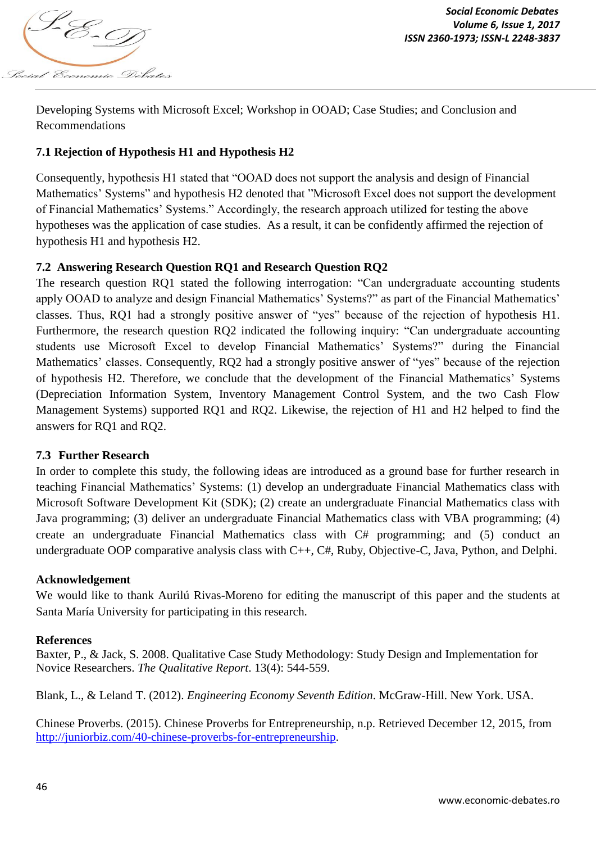

Developing Systems with Microsoft Excel; Workshop in OOAD; Case Studies; and Conclusion and Recommendations

# **7.1 Rejection of Hypothesis H1 and Hypothesis H2**

Consequently, hypothesis H1 stated that "OOAD does not support the analysis and design of Financial Mathematics' Systems" and hypothesis H2 denoted that "Microsoft Excel does not support the development of Financial Mathematics' Systems." Accordingly, the research approach utilized for testing the above hypotheses was the application of case studies. As a result, it can be confidently affirmed the rejection of hypothesis H1 and hypothesis H2.

# **7.2 Answering Research Question RQ1 and Research Question RQ2**

The research question RQ1 stated the following interrogation: "Can undergraduate accounting students apply OOAD to analyze and design Financial Mathematics' Systems?" as part of the Financial Mathematics' classes. Thus, RQ1 had a strongly positive answer of "yes" because of the rejection of hypothesis H1. Furthermore, the research question RQ2 indicated the following inquiry: "Can undergraduate accounting students use Microsoft Excel to develop Financial Mathematics' Systems?" during the Financial Mathematics' classes. Consequently, RQ2 had a strongly positive answer of "yes" because of the rejection of hypothesis H2. Therefore, we conclude that the development of the Financial Mathematics' Systems (Depreciation Information System, Inventory Management Control System, and the two Cash Flow Management Systems) supported RQ1 and RQ2. Likewise, the rejection of H1 and H2 helped to find the answers for RQ1 and RQ2.

# **7.3 Further Research**

In order to complete this study, the following ideas are introduced as a ground base for further research in teaching Financial Mathematics' Systems: (1) develop an undergraduate Financial Mathematics class with Microsoft Software Development Kit (SDK); (2) create an undergraduate Financial Mathematics class with Java programming; (3) deliver an undergraduate Financial Mathematics class with VBA programming; (4) create an undergraduate Financial Mathematics class with C# programming; and (5) conduct an undergraduate OOP comparative analysis class with C++, C#, Ruby, Objective-C, Java, Python, and Delphi.

#### **Acknowledgement**

We would like to thank Aurilú Rivas*-*Moreno for editing the manuscript of this paper and the students at Santa María University for participating in this research.

#### **References**

Baxter, P., & Jack, S. 2008. Qualitative Case Study Methodology: Study Design and Implementation for Novice Researchers. *The Qualitative Report*. 13(4): 544-559.

Blank, L., & Leland T. (2012). *Engineering Economy Seventh Edition*. McGraw-Hill. New York. USA.

Chinese Proverbs. (2015). Chinese Proverbs for Entrepreneurship, n.p. Retrieved December 12, 2015, from http://juniorbiz.com/40-chinese-proverbs-for-entrepreneurship.